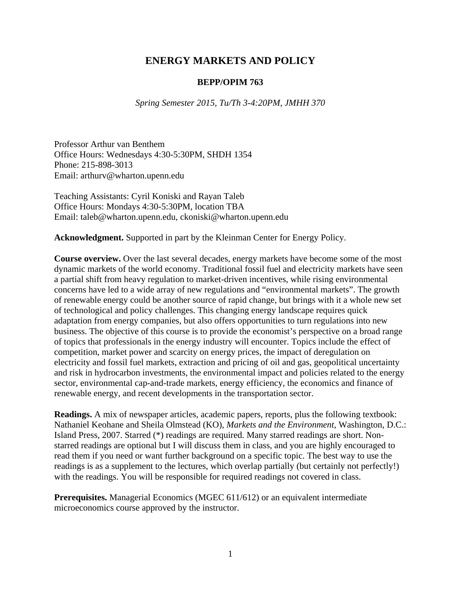# **ENERGY MARKETS AND POLICY**

#### **BEPP/OPIM 763**

*Spring Semester 2015, Tu/Th 3-4:20PM, JMHH 370* 

Professor Arthur van Benthem Office Hours: Wednesdays 4:30-5:30PM, SHDH 1354 Phone: 215-898-3013 Email: arthurv@wharton.upenn.edu

Teaching Assistants: Cyril Koniski and Rayan Taleb Office Hours: Mondays 4:30-5:30PM, location TBA Email: taleb@wharton.upenn.edu, ckoniski@wharton.upenn.edu

**Acknowledgment.** Supported in part by the Kleinman Center for Energy Policy.

**Course overview.** Over the last several decades, energy markets have become some of the most dynamic markets of the world economy. Traditional fossil fuel and electricity markets have seen a partial shift from heavy regulation to market-driven incentives, while rising environmental concerns have led to a wide array of new regulations and "environmental markets". The growth of renewable energy could be another source of rapid change, but brings with it a whole new set of technological and policy challenges. This changing energy landscape requires quick adaptation from energy companies, but also offers opportunities to turn regulations into new business. The objective of this course is to provide the economist's perspective on a broad range of topics that professionals in the energy industry will encounter. Topics include the effect of competition, market power and scarcity on energy prices, the impact of deregulation on electricity and fossil fuel markets, extraction and pricing of oil and gas, geopolitical uncertainty and risk in hydrocarbon investments, the environmental impact and policies related to the energy sector, environmental cap-and-trade markets, energy efficiency, the economics and finance of renewable energy, and recent developments in the transportation sector.

**Readings.** A mix of newspaper articles, academic papers, reports, plus the following textbook: Nathaniel Keohane and Sheila Olmstead (KO), *Markets and the Environment*, Washington, D.C.: Island Press, 2007. Starred (\*) readings are required. Many starred readings are short. Nonstarred readings are optional but I will discuss them in class, and you are highly encouraged to read them if you need or want further background on a specific topic. The best way to use the readings is as a supplement to the lectures, which overlap partially (but certainly not perfectly!) with the readings. You will be responsible for required readings not covered in class.

**Prerequisites.** Managerial Economics (MGEC 611/612) or an equivalent intermediate microeconomics course approved by the instructor.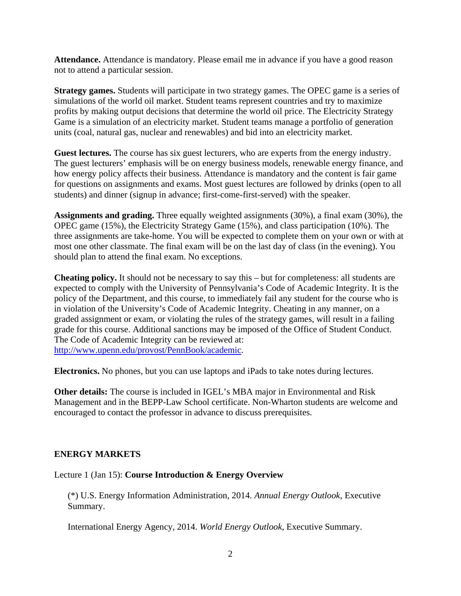**Attendance.** Attendance is mandatory. Please email me in advance if you have a good reason not to attend a particular session.

**Strategy games.** Students will participate in two strategy games. The OPEC game is a series of simulations of the world oil market. Student teams represent countries and try to maximize profits by making output decisions that determine the world oil price. The Electricity Strategy Game is a simulation of an electricity market. Student teams manage a portfolio of generation units (coal, natural gas, nuclear and renewables) and bid into an electricity market.

**Guest lectures.** The course has six guest lecturers, who are experts from the energy industry. The guest lecturers' emphasis will be on energy business models, renewable energy finance, and how energy policy affects their business. Attendance is mandatory and the content is fair game for questions on assignments and exams. Most guest lectures are followed by drinks (open to all students) and dinner (signup in advance; first-come-first-served) with the speaker.

**Assignments and grading.** Three equally weighted assignments (30%), a final exam (30%), the OPEC game (15%), the Electricity Strategy Game (15%), and class participation (10%). The three assignments are take-home. You will be expected to complete them on your own or with at most one other classmate. The final exam will be on the last day of class (in the evening). You should plan to attend the final exam. No exceptions.

**Cheating policy.** It should not be necessary to say this – but for completeness: all students are expected to comply with the University of Pennsylvania's Code of Academic Integrity. It is the policy of the Department, and this course, to immediately fail any student for the course who is in violation of the University's Code of Academic Integrity. Cheating in any manner, on a graded assignment or exam, or violating the rules of the strategy games, will result in a failing grade for this course. Additional sanctions may be imposed of the Office of Student Conduct. The Code of Academic Integrity can be reviewed at: http://www.upenn.edu/provost/PennBook/academic.

**Electronics.** No phones, but you can use laptops and iPads to take notes during lectures.

**Other details:** The course is included in IGEL's MBA major in Environmental and Risk Management and in the BEPP-Law School certificate. Non-Wharton students are welcome and encouraged to contact the professor in advance to discuss prerequisites.

## **ENERGY MARKETS**

## Lecture 1 (Jan 15): **Course Introduction & Energy Overview**

(\*) U.S. Energy Information Administration, 2014. *Annual Energy Outlook*, Executive Summary.

International Energy Agency, 2014. *World Energy Outlook*, Executive Summary.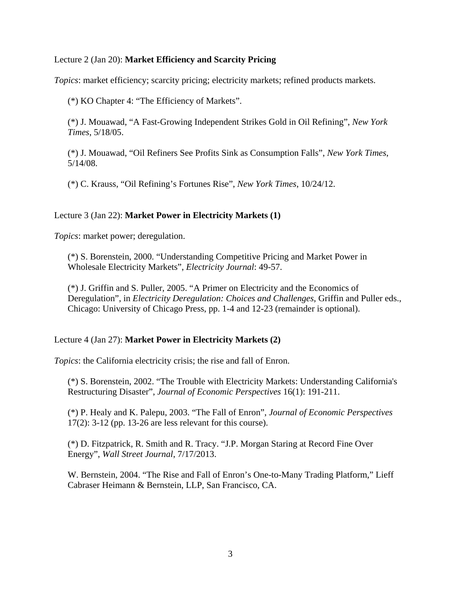## Lecture 2 (Jan 20): **Market Efficiency and Scarcity Pricing**

*Topics*: market efficiency; scarcity pricing; electricity markets; refined products markets.

(\*) KO Chapter 4: "The Efficiency of Markets".

(\*) J. Mouawad, "A Fast-Growing Independent Strikes Gold in Oil Refining", *New York Times*, 5/18/05.

(\*) J. Mouawad, "Oil Refiners See Profits Sink as Consumption Falls", *New York Times*, 5/14/08.

(\*) C. Krauss, "Oil Refining's Fortunes Rise", *New York Times*, 10/24/12.

## Lecture 3 (Jan 22): **Market Power in Electricity Markets (1)**

*Topics*: market power; deregulation.

(\*) S. Borenstein, 2000. "Understanding Competitive Pricing and Market Power in Wholesale Electricity Markets", *Electricity Journal*: 49-57.

(\*) J. Griffin and S. Puller, 2005. "A Primer on Electricity and the Economics of Deregulation", in *Electricity Deregulation: Choices and Challenges*, Griffin and Puller eds., Chicago: University of Chicago Press, pp. 1-4 and 12-23 (remainder is optional).

## Lecture 4 (Jan 27): **Market Power in Electricity Markets (2)**

*Topics*: the California electricity crisis; the rise and fall of Enron.

(\*) S. Borenstein, 2002. "The Trouble with Electricity Markets: Understanding California's Restructuring Disaster", *Journal of Economic Perspectives* 16(1): 191-211.

(\*) P. Healy and K. Palepu, 2003. "The Fall of Enron", *Journal of Economic Perspectives* 17(2): 3-12 (pp. 13-26 are less relevant for this course).

(\*) D. Fitzpatrick, R. Smith and R. Tracy. "J.P. Morgan Staring at Record Fine Over Energy", *Wall Street Journal*, 7/17/2013.

W. Bernstein, 2004. "The Rise and Fall of Enron's One-to-Many Trading Platform," Lieff Cabraser Heimann & Bernstein, LLP, San Francisco, CA.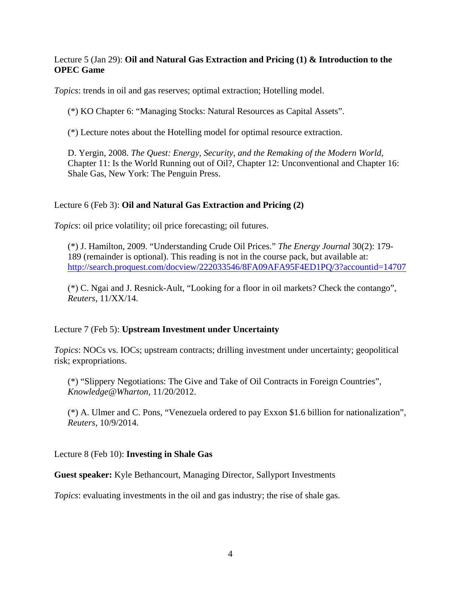## Lecture 5 (Jan 29): **Oil and Natural Gas Extraction and Pricing (1) & Introduction to the OPEC Game**

*Topics*: trends in oil and gas reserves; optimal extraction; Hotelling model.

(\*) KO Chapter 6: "Managing Stocks: Natural Resources as Capital Assets".

(\*) Lecture notes about the Hotelling model for optimal resource extraction.

D. Yergin, 2008. *The Quest: Energy, Security, and the Remaking of the Modern World*, Chapter 11: Is the World Running out of Oil?, Chapter 12: Unconventional and Chapter 16: Shale Gas, New York: The Penguin Press.

## Lecture 6 (Feb 3): **Oil and Natural Gas Extraction and Pricing (2)**

*Topics*: oil price volatility; oil price forecasting; oil futures.

(\*) J. Hamilton, 2009. "Understanding Crude Oil Prices." *The Energy Journal* 30(2): 179- 189 (remainder is optional). This reading is not in the course pack, but available at: http://search.proquest.com/docview/222033546/8FA09AFA95F4ED1PQ/3?accountid=14707

(\*) C. Ngai and J. Resnick-Ault, "Looking for a floor in oil markets? Check the contango", *Reuters*, 11/XX/14.

## Lecture 7 (Feb 5): **Upstream Investment under Uncertainty**

*Topics*: NOCs vs. IOCs; upstream contracts; drilling investment under uncertainty; geopolitical risk; expropriations.

(\*) "Slippery Negotiations: The Give and Take of Oil Contracts in Foreign Countries", *Knowledge@Wharton*, 11/20/2012.

(\*) A. Ulmer and C. Pons, "Venezuela ordered to pay Exxon \$1.6 billion for nationalization", *Reuters*, 10/9/2014.

Lecture 8 (Feb 10): **Investing in Shale Gas**

## **Guest speaker:** Kyle Bethancourt, Managing Director, Sallyport Investments

*Topics*: evaluating investments in the oil and gas industry; the rise of shale gas.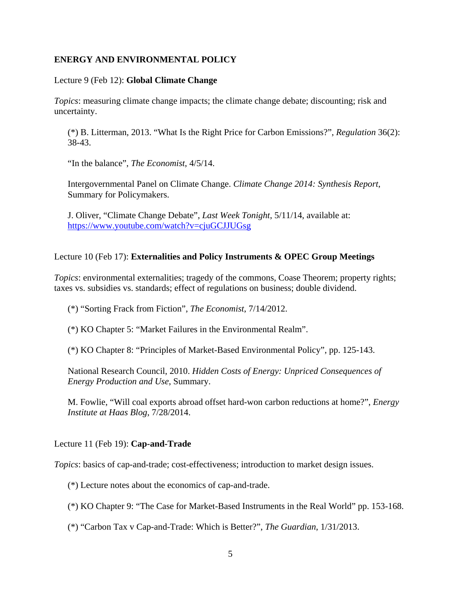## **ENERGY AND ENVIRONMENTAL POLICY**

### Lecture 9 (Feb 12): **Global Climate Change**

*Topics*: measuring climate change impacts; the climate change debate; discounting; risk and uncertainty.

(\*) B. Litterman, 2013. "What Is the Right Price for Carbon Emissions?", *Regulation* 36(2): 38-43.

"In the balance", *The Economist*, 4/5/14.

Intergovernmental Panel on Climate Change. *Climate Change 2014: Synthesis Report*, Summary for Policymakers.

J. Oliver, "Climate Change Debate", *Last Week Tonight*, 5/11/14, available at: https://www.youtube.com/watch?v=cjuGCJJUGsg

## Lecture 10 (Feb 17): **Externalities and Policy Instruments & OPEC Group Meetings**

*Topics*: environmental externalities; tragedy of the commons, Coase Theorem; property rights; taxes vs. subsidies vs. standards; effect of regulations on business; double dividend.

(\*) "Sorting Frack from Fiction", *The Economist*, 7/14/2012.

(\*) KO Chapter 5: "Market Failures in the Environmental Realm".

(\*) KO Chapter 8: "Principles of Market-Based Environmental Policy", pp. 125-143.

National Research Council, 2010. *Hidden Costs of Energy: Unpriced Consequences of Energy Production and Use*, Summary.

M. Fowlie, "Will coal exports abroad offset hard-won carbon reductions at home?", *Energy Institute at Haas Blog*, 7/28/2014.

Lecture 11 (Feb 19): **Cap-and-Trade** 

*Topics*: basics of cap-and-trade; cost-effectiveness; introduction to market design issues.

(\*) Lecture notes about the economics of cap-and-trade.

(\*) KO Chapter 9: "The Case for Market-Based Instruments in the Real World" pp. 153-168.

(\*) "Carbon Tax v Cap-and-Trade: Which is Better?", *The Guardian*, 1/31/2013.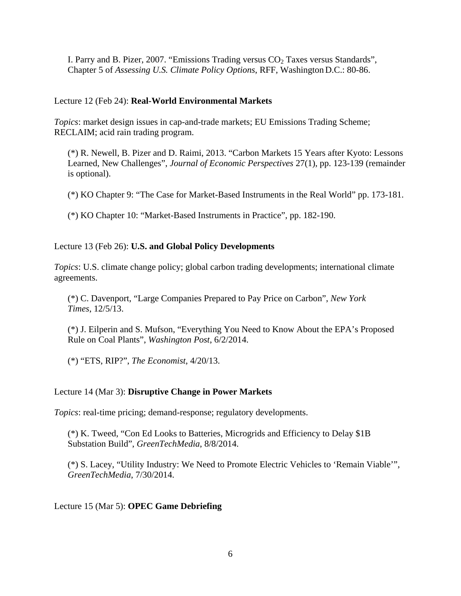I. Parry and B. Pizer, 2007. "Emissions Trading versus  $CO<sub>2</sub>$  Taxes versus Standards", Chapter 5 of *Assessing U.S. Climate Policy Options*, RFF, Washington D.C.: 80-86.

## Lecture 12 (Feb 24): **Real-World Environmental Markets**

*Topics*: market design issues in cap-and-trade markets; EU Emissions Trading Scheme; RECLAIM; acid rain trading program.

(\*) R. Newell, B. Pizer and D. Raimi, 2013. "Carbon Markets 15 Years after Kyoto: Lessons Learned, New Challenges", *Journal of Economic Perspectives* 27(1), pp. 123-139 (remainder is optional).

(\*) KO Chapter 9: "The Case for Market-Based Instruments in the Real World" pp. 173-181.

(\*) KO Chapter 10: "Market-Based Instruments in Practice", pp. 182-190.

## Lecture 13 (Feb 26): **U.S. and Global Policy Developments**

*Topics*: U.S. climate change policy; global carbon trading developments; international climate agreements.

(\*) C. Davenport, "Large Companies Prepared to Pay Price on Carbon", *New York Times*, 12/5/13.

(\*) J. Eilperin and S. Mufson, "Everything You Need to Know About the EPA's Proposed Rule on Coal Plants", *Washington Post*, 6/2/2014.

(\*) "ETS, RIP?", *The Economist*, 4/20/13.

## Lecture 14 (Mar 3): **Disruptive Change in Power Markets**

*Topics*: real-time pricing; demand-response; regulatory developments.

(\*) K. Tweed, "Con Ed Looks to Batteries, Microgrids and Efficiency to Delay \$1B Substation Build", *GreenTechMedia*, 8/8/2014.

(\*) S. Lacey, "Utility Industry: We Need to Promote Electric Vehicles to 'Remain Viable'", *GreenTechMedia*, 7/30/2014.

## Lecture 15 (Mar 5): **OPEC Game Debriefing**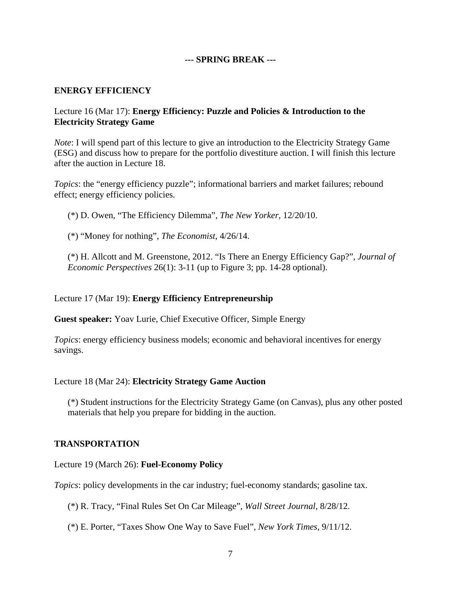## **--- SPRING BREAK ---**

## **ENERGY EFFICIENCY**

## Lecture 16 (Mar 17): **Energy Efficiency: Puzzle and Policies & Introduction to the Electricity Strategy Game**

*Note*: I will spend part of this lecture to give an introduction to the Electricity Strategy Game (ESG) and discuss how to prepare for the portfolio divestiture auction. I will finish this lecture after the auction in Lecture 18.

*Topics*: the "energy efficiency puzzle"; informational barriers and market failures; rebound effect; energy efficiency policies.

(\*) D. Owen, "The Efficiency Dilemma", *The New Yorker*, 12/20/10.

(\*) "Money for nothing", *The Economist*, 4/26/14.

(\*) H. Allcott and M. Greenstone, 2012. "Is There an Energy Efficiency Gap?", *Journal of Economic Perspectives* 26(1): 3-11 (up to Figure 3; pp. 14-28 optional).

#### Lecture 17 (Mar 19): **Energy Efficiency Entrepreneurship**

**Guest speaker:** Yoav Lurie, Chief Executive Officer, Simple Energy

*Topics*: energy efficiency business models; economic and behavioral incentives for energy savings.

#### Lecture 18 (Mar 24): **Electricity Strategy Game Auction**

(\*) Student instructions for the Electricity Strategy Game (on Canvas), plus any other posted materials that help you prepare for bidding in the auction.

### **TRANSPORTATION**

Lecture 19 (March 26): **Fuel-Economy Policy**

*Topics*: policy developments in the car industry; fuel-economy standards; gasoline tax.

(\*) R. Tracy, "Final Rules Set On Car Mileage", *Wall Street Journal*, 8/28/12.

(\*) E. Porter, "Taxes Show One Way to Save Fuel", *New York Times*, 9/11/12.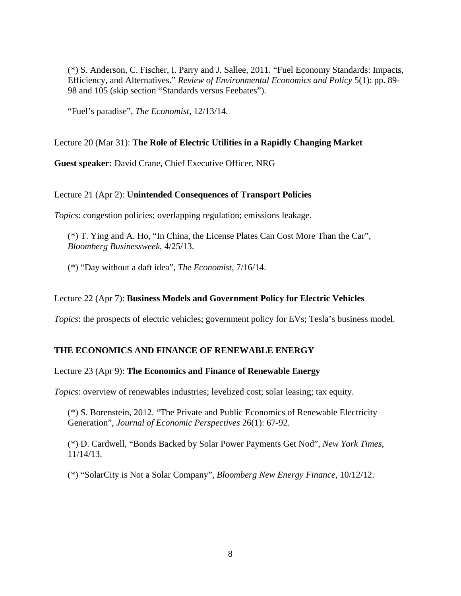(\*) S. Anderson, C. Fischer, I. Parry and J. Sallee, 2011. "Fuel Economy Standards: Impacts, Efficiency, and Alternatives." *Review of Environmental Economics and Policy* 5(1): pp. 89- 98 and 105 (skip section "Standards versus Feebates").

"Fuel's paradise", *The Economist*, 12/13/14.

## Lecture 20 (Mar 31): **The Role of Electric Utilities in a Rapidly Changing Market**

**Guest speaker:** David Crane, Chief Executive Officer, NRG

## Lecture 21 (Apr 2): **Unintended Consequences of Transport Policies**

*Topics*: congestion policies; overlapping regulation; emissions leakage.

(\*) T. Ying and A. Ho, "In China, the License Plates Can Cost More Than the Car", *Bloomberg Businessweek*, 4/25/13.

(\*) "Day without a daft idea", *The Economist*, 7/16/14.

## Lecture 22 (Apr 7): **Business Models and Government Policy for Electric Vehicles**

*Topics*: the prospects of electric vehicles; government policy for EVs; Tesla's business model.

## **THE ECONOMICS AND FINANCE OF RENEWABLE ENERGY**

#### Lecture 23 (Apr 9): **The Economics and Finance of Renewable Energy**

*Topics*: overview of renewables industries; levelized cost; solar leasing; tax equity.

(\*) S. Borenstein, 2012. "The Private and Public Economics of Renewable Electricity Generation", *Journal of Economic Perspectives* 26(1): 67-92.

(\*) D. Cardwell, "Bonds Backed by Solar Power Payments Get Nod", *New York Times*, 11/14/13.

(\*) "SolarCity is Not a Solar Company", *Bloomberg New Energy Finance*, 10/12/12.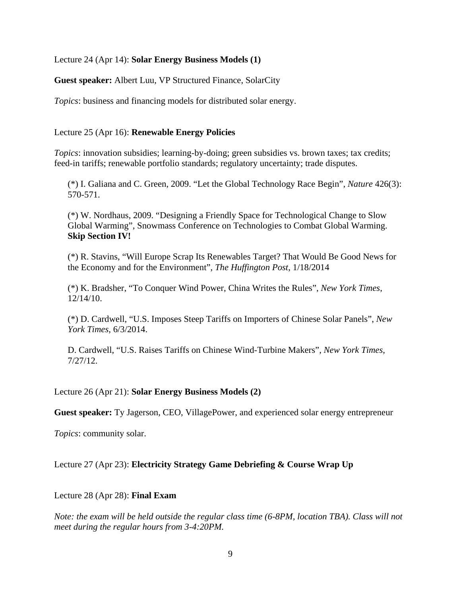## Lecture 24 (Apr 14): **Solar Energy Business Models (1)**

**Guest speaker:** Albert Luu, VP Structured Finance, SolarCity

*Topics*: business and financing models for distributed solar energy.

### Lecture 25 (Apr 16): **Renewable Energy Policies**

*Topics*: innovation subsidies; learning-by-doing; green subsidies vs. brown taxes; tax credits; feed-in tariffs; renewable portfolio standards; regulatory uncertainty; trade disputes.

(\*) I. Galiana and C. Green, 2009. "Let the Global Technology Race Begin", *Nature* 426(3): 570-571.

(\*) W. Nordhaus, 2009. "Designing a Friendly Space for Technological Change to Slow Global Warming", Snowmass Conference on Technologies to Combat Global Warming. **Skip Section IV!**

(\*) R. Stavins, "Will Europe Scrap Its Renewables Target? That Would Be Good News for the Economy and for the Environment", *The Huffington Post*, 1/18/2014

(\*) K. Bradsher, "To Conquer Wind Power, China Writes the Rules", *New York Times*, 12/14/10.

(\*) D. Cardwell, "U.S. Imposes Steep Tariffs on Importers of Chinese Solar Panels", *New York Times*, 6/3/2014.

D. Cardwell, "U.S. Raises Tariffs on Chinese Wind-Turbine Makers", *New York Times*, 7/27/12.

#### Lecture 26 (Apr 21): **Solar Energy Business Models (2)**

**Guest speaker:** Ty Jagerson, CEO, VillagePower, and experienced solar energy entrepreneur

*Topics*: community solar.

## Lecture 27 (Apr 23): **Electricity Strategy Game Debriefing & Course Wrap Up**

#### Lecture 28 (Apr 28): **Final Exam**

*Note: the exam will be held outside the regular class time (6-8PM, location TBA). Class will not meet during the regular hours from 3-4:20PM.*